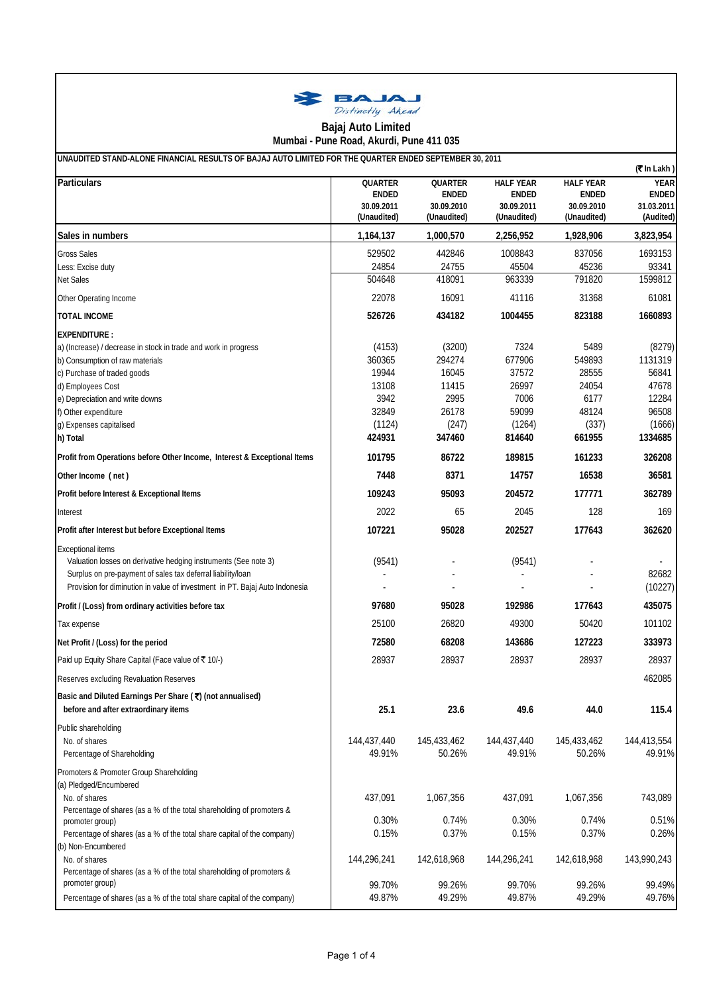

## **Mumbai - Pune Road, Akurdi, Pune 411 035 Bajaj Auto Limited**

| UNAUDITED STAND-ALONE FINANCIAL RESULTS OF BAJAJ AUTO LIMITED FOR THE QUARTER ENDED SEPTEMBER 30, 2011 |                           |                           |                                  |                                  |                             |  |  |
|--------------------------------------------------------------------------------------------------------|---------------------------|---------------------------|----------------------------------|----------------------------------|-----------------------------|--|--|
| <b>Particulars</b>                                                                                     | QUARTER<br><b>ENDED</b>   | QUARTER<br><b>ENDED</b>   | <b>HALF YEAR</b><br><b>ENDED</b> | <b>HALF YEAR</b><br><b>ENDED</b> | <b>YEAR</b><br><b>ENDED</b> |  |  |
|                                                                                                        | 30.09.2011<br>(Unaudited) | 30.09.2010<br>(Unaudited) | 30.09.2011<br>(Unaudited)        | 30.09.2010<br>(Unaudited)        | 31.03.2011<br>(Audited)     |  |  |
| Sales in numbers                                                                                       | 1,164,137                 | 1,000,570                 | 2,256,952                        | 1,928,906                        | 3,823,954                   |  |  |
| <b>Gross Sales</b>                                                                                     | 529502                    | 442846                    | 1008843                          | 837056                           | 1693153                     |  |  |
| Less: Excise duty                                                                                      | 24854                     | 24755                     | 45504                            | 45236                            | 93341                       |  |  |
| Net Sales                                                                                              | 504648                    | 418091                    | 963339                           | 791820                           | 1599812                     |  |  |
| Other Operating Income                                                                                 | 22078                     | 16091                     | 41116                            | 31368                            | 61081                       |  |  |
| <b>TOTAL INCOME</b>                                                                                    | 526726                    | 434182                    | 1004455                          | 823188                           | 1660893                     |  |  |
| <b>EXPENDITURE:</b>                                                                                    |                           |                           |                                  |                                  |                             |  |  |
| a) (Increase) / decrease in stock in trade and work in progress                                        | (4153)                    | (3200)                    | 7324                             | 5489                             | (8279)                      |  |  |
| b) Consumption of raw materials                                                                        | 360365                    | 294274                    | 677906                           | 549893                           | 1131319                     |  |  |
| c) Purchase of traded goods                                                                            | 19944                     | 16045                     | 37572                            | 28555                            | 56841                       |  |  |
| d) Employees Cost                                                                                      | 13108                     | 11415                     | 26997                            | 24054                            | 47678                       |  |  |
| e) Depreciation and write downs                                                                        | 3942                      | 2995                      | 7006                             | 6177                             | 12284                       |  |  |
| f) Other expenditure                                                                                   | 32849                     | 26178                     | 59099                            | 48124                            | 96508                       |  |  |
| g) Expenses capitalised<br>h) Total                                                                    | (1124)<br>424931          | (247)<br>347460           | (1264)<br>814640                 | (337)<br>661955                  | (1666)<br>1334685           |  |  |
| Profit from Operations before Other Income, Interest & Exceptional Items                               | 101795                    | 86722                     | 189815                           | 161233                           | 326208                      |  |  |
|                                                                                                        | 7448                      | 8371                      | 14757                            | 16538                            | 36581                       |  |  |
| Other Income (net)                                                                                     |                           |                           |                                  |                                  |                             |  |  |
| Profit before Interest & Exceptional Items                                                             | 109243                    | 95093                     | 204572                           | 177771                           | 362789                      |  |  |
| Interest                                                                                               | 2022                      | 65                        | 2045                             | 128                              | 169                         |  |  |
| Profit after Interest but before Exceptional Items                                                     | 107221                    | 95028                     | 202527                           | 177643                           | 362620                      |  |  |
| <b>Exceptional items</b>                                                                               |                           |                           |                                  |                                  |                             |  |  |
| Valuation losses on derivative hedging instruments (See note 3)                                        | (9541)                    |                           | (9541)                           |                                  |                             |  |  |
| Surplus on pre-payment of sales tax deferral liability/loan                                            |                           |                           |                                  |                                  | 82682                       |  |  |
| Provision for diminution in value of investment in PT. Bajaj Auto Indonesia                            |                           |                           |                                  |                                  | (10227)                     |  |  |
| Profit / (Loss) from ordinary activities before tax                                                    | 97680                     | 95028                     | 192986                           | 177643                           | 435075                      |  |  |
| Tax expense                                                                                            | 25100                     | 26820                     | 49300                            | 50420                            | 101102                      |  |  |
| Net Profit / (Loss) for the period                                                                     | 72580                     | 68208                     | 143686                           | 127223                           | 333973                      |  |  |
| Paid up Equity Share Capital (Face value of ₹ 10/-)                                                    | 28937                     | 28937                     | 28937                            | 28937                            | 28937                       |  |  |
| Reserves excluding Revaluation Reserves                                                                |                           |                           |                                  |                                  | 462085                      |  |  |
| Basic and Diluted Earnings Per Share (₹) (not annualised)                                              |                           |                           |                                  |                                  |                             |  |  |
| before and after extraordinary items                                                                   | 25.1                      | 23.6                      | 49.6                             | 44.0                             | 115.4                       |  |  |
| Public shareholding                                                                                    |                           |                           |                                  |                                  |                             |  |  |
| No. of shares                                                                                          | 144,437,440               | 145,433,462               | 144,437,440                      | 145,433,462                      | 144,413,554                 |  |  |
| Percentage of Shareholding                                                                             | 49.91%                    | 50.26%                    | 49.91%                           | 50.26%                           | 49.91%                      |  |  |
| Promoters & Promoter Group Shareholding                                                                |                           |                           |                                  |                                  |                             |  |  |
| (a) Pledged/Encumbered                                                                                 |                           |                           |                                  |                                  |                             |  |  |
| No. of shares                                                                                          | 437,091                   | 1,067,356                 | 437,091                          | 1,067,356                        | 743,089                     |  |  |
| Percentage of shares (as a % of the total shareholding of promoters &<br>promoter group)               | 0.30%                     | 0.74%                     | 0.30%                            | 0.74%                            | 0.51%                       |  |  |
| Percentage of shares (as a % of the total share capital of the company)                                | 0.15%                     | 0.37%                     | 0.15%                            | 0.37%                            | 0.26%                       |  |  |
| (b) Non-Encumbered                                                                                     |                           |                           |                                  |                                  |                             |  |  |
| No. of shares                                                                                          | 144,296,241               | 142,618,968               | 144,296,241                      | 142,618,968                      | 143,990,243                 |  |  |
| Percentage of shares (as a % of the total shareholding of promoters &                                  |                           |                           |                                  |                                  |                             |  |  |
| promoter group)                                                                                        | 99.70%                    | 99.26%                    | 99.70%                           | 99.26%                           | 99.49%                      |  |  |
| Percentage of shares (as a % of the total share capital of the company)                                | 49.87%                    | 49.29%                    | 49.87%                           | 49.29%                           | 49.76%                      |  |  |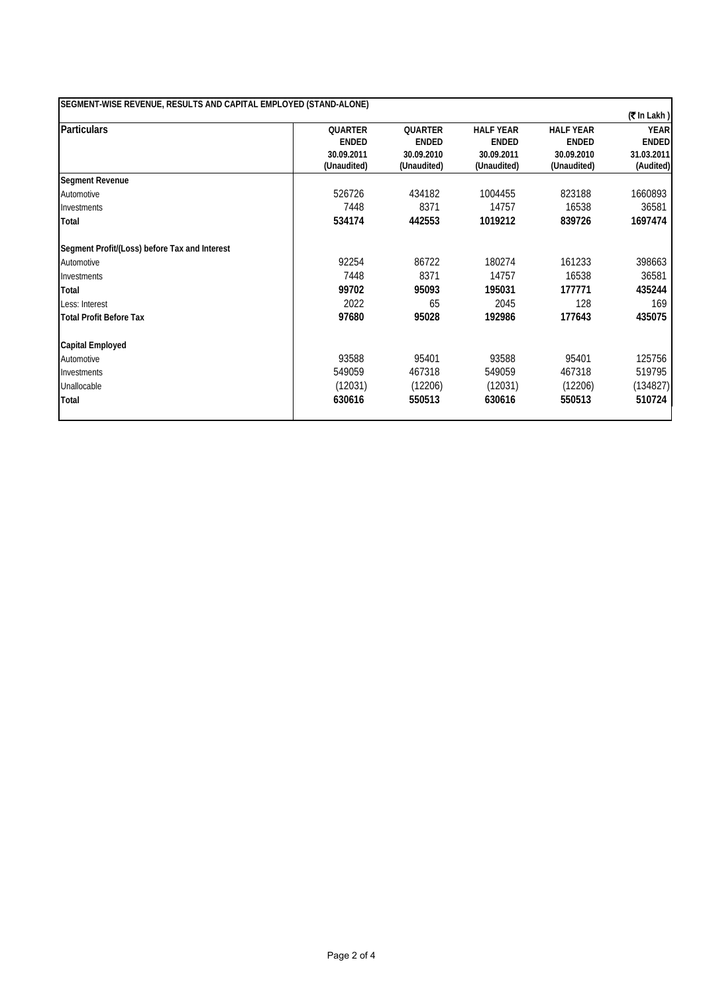| <b>QUARTER</b> |                |                  |                  | $($ ₹In Lakh) |
|----------------|----------------|------------------|------------------|---------------|
|                |                |                  |                  |               |
|                | <b>QUARTER</b> | <b>HALF YEAR</b> | <b>HALF YEAR</b> | <b>YEAR</b>   |
| <b>ENDED</b>   | <b>ENDED</b>   | <b>ENDED</b>     | <b>ENDED</b>     | <b>ENDED</b>  |
| 30.09.2011     | 30.09.2010     | 30.09.2011       | 30.09.2010       | 31.03.2011    |
|                |                |                  |                  | (Audited)     |
|                |                |                  |                  |               |
| 526726         | 434182         | 1004455          | 823188           | 1660893       |
| 7448           | 8371           | 14757            | 16538            | 36581         |
| 534174         | 442553         | 1019212          | 839726           | 1697474       |
|                |                |                  |                  |               |
| 92254          | 86722          | 180274           | 161233           | 398663        |
| 7448           | 8371           | 14757            | 16538            | 36581         |
| 99702          | 95093          | 195031           | 177771           | 435244        |
| 2022           | 65             | 2045             | 128              | 169           |
| 97680          | 95028          | 192986           | 177643           | 435075        |
|                |                |                  |                  |               |
| 93588          | 95401          | 93588            | 95401            | 125756        |
| 549059         | 467318         | 549059           | 467318           | 519795        |
| (12031)        | (12206)        | (12031)          | (12206)          | (134827)      |
| 630616         | 550513         | 630616           | 550513           | 510724        |
|                | (Unaudited)    | (Unaudited)      | (Unaudited)      | (Unaudited)   |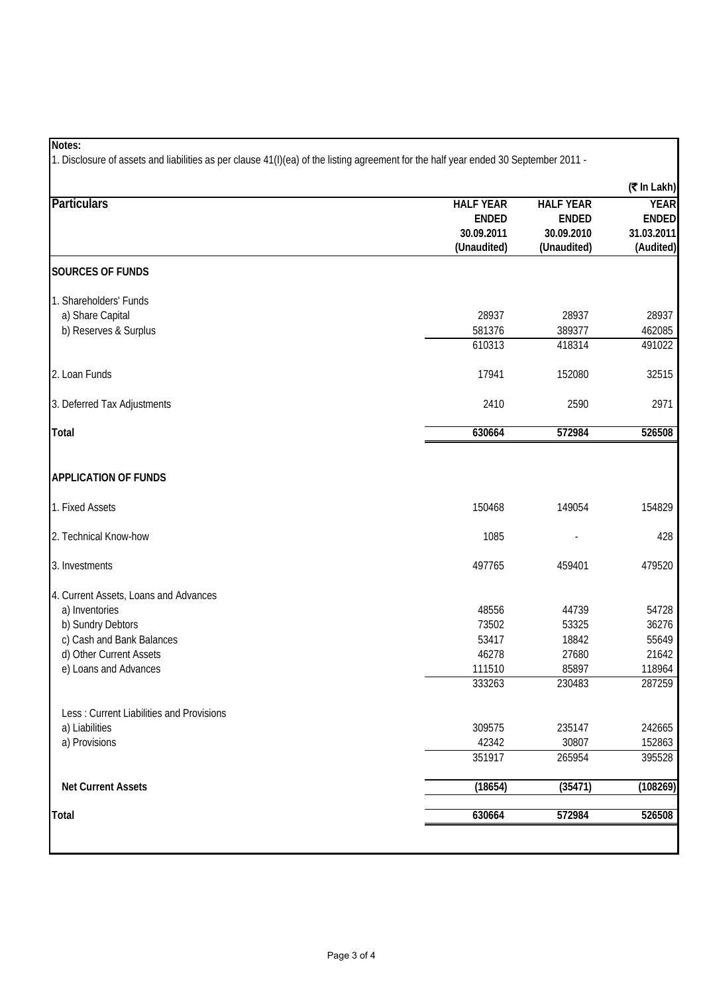## **Notes:**

1. Disclosure of assets and liabilities as per clause 41(I)(ea) of the listing agreement for the half year ended 30 September 2011 -

|                                                                                                                                                               |                                                               |                                                               | (₹ In Lakh)                                            |
|---------------------------------------------------------------------------------------------------------------------------------------------------------------|---------------------------------------------------------------|---------------------------------------------------------------|--------------------------------------------------------|
| <b>Particulars</b>                                                                                                                                            | <b>HALF YEAR</b><br><b>ENDED</b><br>30.09.2011<br>(Unaudited) | <b>HALF YEAR</b><br><b>ENDED</b><br>30.09.2010<br>(Unaudited) | <b>YEAR</b><br><b>ENDED</b><br>31.03.2011<br>(Audited) |
| <b>SOURCES OF FUNDS</b>                                                                                                                                       |                                                               |                                                               |                                                        |
| 1. Shareholders' Funds<br>a) Share Capital<br>b) Reserves & Surplus                                                                                           | 28937<br>581376<br>610313                                     | 28937<br>389377<br>418314                                     | 28937<br>462085<br>491022                              |
| 2. Loan Funds                                                                                                                                                 | 17941                                                         | 152080                                                        | 32515                                                  |
| 3. Deferred Tax Adjustments                                                                                                                                   | 2410                                                          | 2590                                                          | 2971                                                   |
| <b>Total</b>                                                                                                                                                  | 630664                                                        | 572984                                                        | 526508                                                 |
| <b>APPLICATION OF FUNDS</b>                                                                                                                                   |                                                               |                                                               |                                                        |
| 1. Fixed Assets                                                                                                                                               | 150468                                                        | 149054                                                        | 154829                                                 |
| 2. Technical Know-how                                                                                                                                         | 1085                                                          |                                                               | 428                                                    |
| 3. Investments                                                                                                                                                | 497765                                                        | 459401                                                        | 479520                                                 |
| 4. Current Assets, Loans and Advances<br>a) Inventories<br>b) Sundry Debtors<br>c) Cash and Bank Balances<br>d) Other Current Assets<br>e) Loans and Advances | 48556<br>73502<br>53417<br>46278<br>111510<br>333263          | 44739<br>53325<br>18842<br>27680<br>85897<br>230483           | 54728<br>36276<br>55649<br>21642<br>118964<br>287259   |
| Less: Current Liabilities and Provisions<br>a) Liabilities<br>a) Provisions                                                                                   | 309575<br>42342<br>351917                                     | 235147<br>30807<br>265954                                     | 242665<br>152863<br>395528                             |
| <b>Net Current Assets</b>                                                                                                                                     | (18654)                                                       | (35471)                                                       | (108269)                                               |
| Total                                                                                                                                                         | 630664                                                        | 572984                                                        | 526508                                                 |